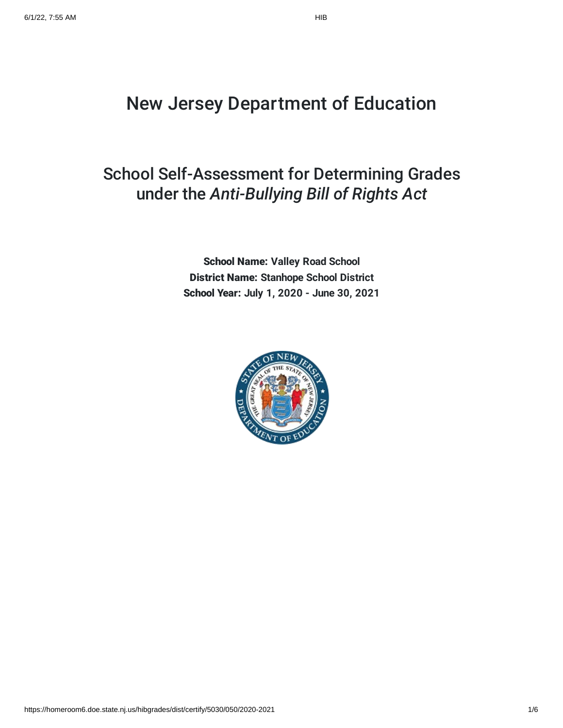# New Jersey Department of Education

## School Self-Assessment for Determining Grades under the *Anti-Bullying Bill of Rights Act*

School Name: **Valley Road School** District Name: **Stanhope School District** School Year: **July 1, 2020 - June 30, 2021**

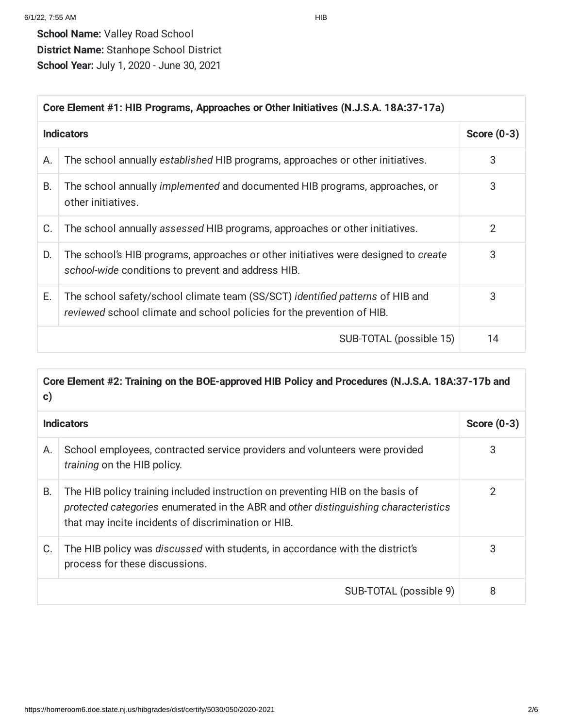| Core Element #1: HIB Programs, Approaches or Other Initiatives (N.J.S.A. 18A:37-17a) |                                                                                                                                                         |               |
|--------------------------------------------------------------------------------------|---------------------------------------------------------------------------------------------------------------------------------------------------------|---------------|
|                                                                                      | <b>Indicators</b>                                                                                                                                       | Score $(0-3)$ |
| А.                                                                                   | The school annually established HIB programs, approaches or other initiatives.                                                                          | 3             |
| В.                                                                                   | The school annually <i>implemented</i> and documented HIB programs, approaches, or<br>other initiatives.                                                | 3             |
| C.                                                                                   | The school annually assessed HIB programs, approaches or other initiatives.                                                                             | 2             |
| D.                                                                                   | The school's HIB programs, approaches or other initiatives were designed to create<br>school-wide conditions to prevent and address HIB.                | 3             |
| Е.                                                                                   | The school safety/school climate team (SS/SCT) identified patterns of HIB and<br>reviewed school climate and school policies for the prevention of HIB. | 3             |
|                                                                                      | SUB-TOTAL (possible 15)                                                                                                                                 | 14            |

| $\mathbf{c})$ | Core Element #2: Training on the BOE-approved HIB Policy and Procedures (N.J.S.A. 18A:37-17b and                                                                                                                             |   |
|---------------|------------------------------------------------------------------------------------------------------------------------------------------------------------------------------------------------------------------------------|---|
|               | <b>Indicators</b>                                                                                                                                                                                                            |   |
| Α.            | School employees, contracted service providers and volunteers were provided<br>training on the HIB policy.                                                                                                                   | 3 |
| <b>B.</b>     | The HIB policy training included instruction on preventing HIB on the basis of<br>protected categories enumerated in the ABR and other distinguishing characteristics<br>that may incite incidents of discrimination or HIB. | 2 |
| C.            | The HIB policy was discussed with students, in accordance with the district's<br>process for these discussions.                                                                                                              | 3 |
|               | SUB-TOTAL (possible 9)                                                                                                                                                                                                       | 8 |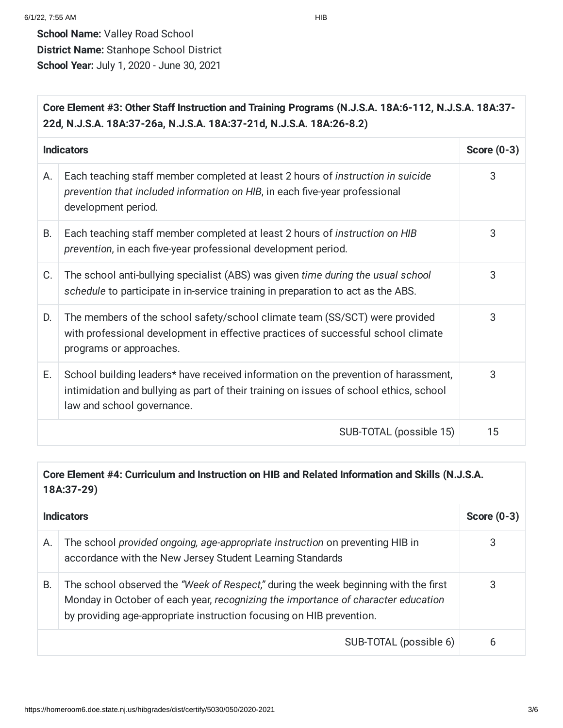| Core Element #3: Other Staff Instruction and Training Programs (N.J.S.A. 18A:6-112, N.J.S.A. 18A:37-<br>22d, N.J.S.A. 18A:37-26a, N.J.S.A. 18A:37-21d, N.J.S.A. 18A:26-8.2) |                                                                                                                                                                                                             |               |
|-----------------------------------------------------------------------------------------------------------------------------------------------------------------------------|-------------------------------------------------------------------------------------------------------------------------------------------------------------------------------------------------------------|---------------|
|                                                                                                                                                                             | <b>Indicators</b>                                                                                                                                                                                           | Score $(0-3)$ |
| Α.                                                                                                                                                                          | Each teaching staff member completed at least 2 hours of instruction in suicide<br>prevention that included information on HIB, in each five-year professional<br>development period.                       | 3             |
| <b>B.</b>                                                                                                                                                                   | Each teaching staff member completed at least 2 hours of instruction on HIB<br>prevention, in each five-year professional development period.                                                               | 3             |
| C.                                                                                                                                                                          | The school anti-bullying specialist (ABS) was given time during the usual school<br>schedule to participate in in-service training in preparation to act as the ABS.                                        | 3             |
| D.                                                                                                                                                                          | The members of the school safety/school climate team (SS/SCT) were provided<br>with professional development in effective practices of successful school climate<br>programs or approaches.                 | 3             |
| Е.                                                                                                                                                                          | School building leaders* have received information on the prevention of harassment,<br>intimidation and bullying as part of their training on issues of school ethics, school<br>law and school governance. | 3             |
|                                                                                                                                                                             | SUB-TOTAL (possible 15)                                                                                                                                                                                     | 15            |

#### **Core Element #4: Curriculum and Instruction on HIB and Related Information and Skills (N.J.S.A. 18A:37-29)**

|    | <b>Indicators</b>                                                                                                                                                                                                                                |   |
|----|--------------------------------------------------------------------------------------------------------------------------------------------------------------------------------------------------------------------------------------------------|---|
| Α. | The school provided ongoing, age-appropriate instruction on preventing HIB in<br>accordance with the New Jersey Student Learning Standards                                                                                                       | 3 |
| В. | The school observed the "Week of Respect," during the week beginning with the first<br>Monday in October of each year, recognizing the importance of character education<br>by providing age-appropriate instruction focusing on HIB prevention. | 3 |
|    | SUB-TOTAL (possible 6)                                                                                                                                                                                                                           | 6 |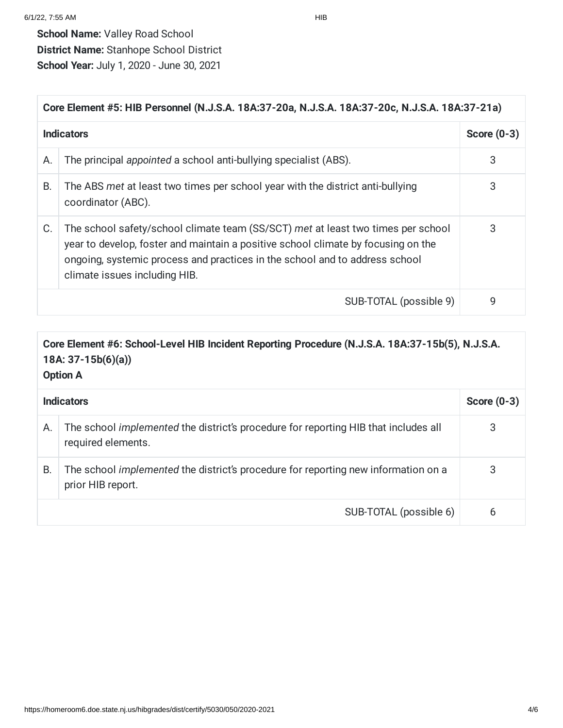| Core Element #5: HIB Personnel (N.J.S.A. 18A:37-20a, N.J.S.A. 18A:37-20c, N.J.S.A. 18A:37-21a) |                                                                                                                                                                                                                                                                                       |   |
|------------------------------------------------------------------------------------------------|---------------------------------------------------------------------------------------------------------------------------------------------------------------------------------------------------------------------------------------------------------------------------------------|---|
|                                                                                                | <b>Indicators</b>                                                                                                                                                                                                                                                                     |   |
| А.                                                                                             | The principal appointed a school anti-bullying specialist (ABS).                                                                                                                                                                                                                      | 3 |
| В.                                                                                             | The ABS met at least two times per school year with the district anti-bullying<br>coordinator (ABC).                                                                                                                                                                                  | 3 |
| C.                                                                                             | The school safety/school climate team (SS/SCT) met at least two times per school<br>year to develop, foster and maintain a positive school climate by focusing on the<br>ongoing, systemic process and practices in the school and to address school<br>climate issues including HIB. | 3 |
|                                                                                                | SUB-TOTAL (possible 9)                                                                                                                                                                                                                                                                | 9 |

### **Core Element #6: School-Level HIB Incident Reporting Procedure (N.J.S.A. 18A:37-15b(5), N.J.S.A. 18A: 37-15b(6)(a))**

**Option A**

| <b>Indicators</b> |                                                                                                           | Score $(0-3)$ |
|-------------------|-----------------------------------------------------------------------------------------------------------|---------------|
| Α.                | The school implemented the district's procedure for reporting HIB that includes all<br>required elements. | 3             |
| В.                | The school implemented the district's procedure for reporting new information on a<br>prior HIB report.   | 3             |
|                   | SUB-TOTAL (possible 6)                                                                                    | 6             |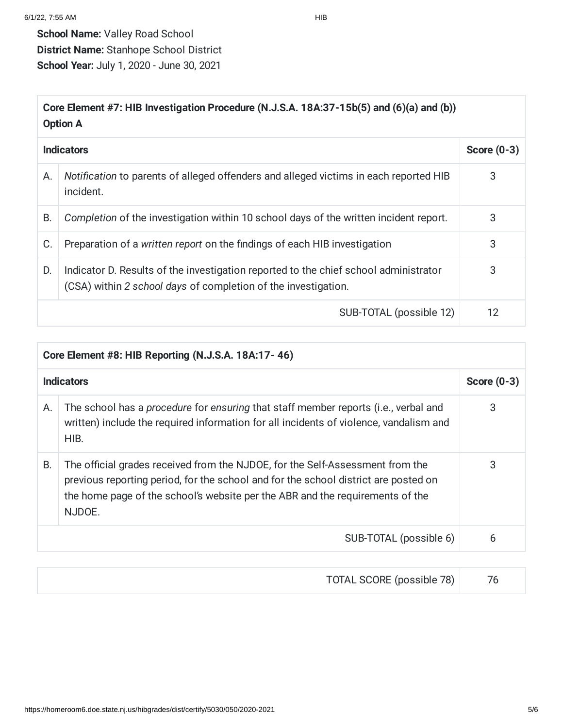### **Core Element #7: HIB Investigation Procedure (N.J.S.A. 18A:37-15b(5) and (6)(a) and (b)) Option A**

|    | <b>Indicators</b>                                                                                                                                      |    |
|----|--------------------------------------------------------------------------------------------------------------------------------------------------------|----|
| Α. | Notification to parents of alleged offenders and alleged victims in each reported HIB<br>incident.                                                     | 3  |
| B. | Completion of the investigation within 10 school days of the written incident report.                                                                  | 3  |
| C. | Preparation of a written report on the findings of each HIB investigation                                                                              | 3  |
| D. | Indicator D. Results of the investigation reported to the chief school administrator<br>(CSA) within 2 school days of completion of the investigation. | 3  |
|    | SUB-TOTAL (possible 12)                                                                                                                                | 12 |

| Core Element #8: HIB Reporting (N.J.S.A. 18A:17-46) |                                                                                                                                                                                                                                                                 |   |
|-----------------------------------------------------|-----------------------------------------------------------------------------------------------------------------------------------------------------------------------------------------------------------------------------------------------------------------|---|
|                                                     | <b>Indicators</b>                                                                                                                                                                                                                                               |   |
| А.                                                  | The school has a <i>procedure</i> for ensuring that staff member reports (i.e., verbal and<br>written) include the required information for all incidents of violence, vandalism and<br>HIB.                                                                    | 3 |
| В.                                                  | The official grades received from the NJDOE, for the Self-Assessment from the<br>previous reporting period, for the school and for the school district are posted on<br>the home page of the school's website per the ABR and the requirements of the<br>NJDOE. | 3 |
|                                                     | SUB-TOTAL (possible 6)                                                                                                                                                                                                                                          | 6 |

| TOTAL SCORE (possible 78) |  |
|---------------------------|--|
|---------------------------|--|